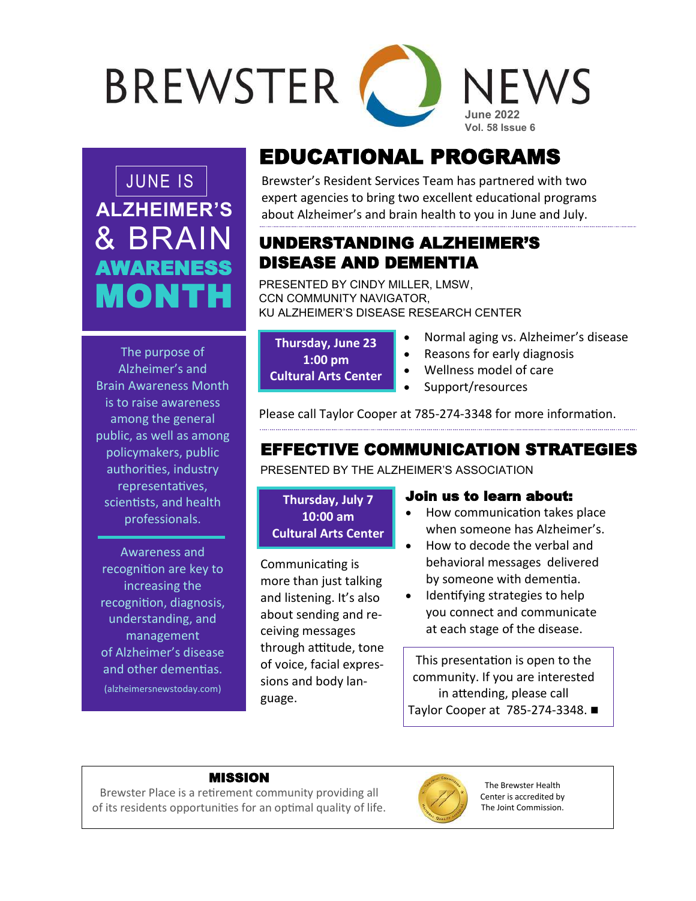# **BREWSTER** NFWS **June 2022 Vol. 58 Issue 6**

**ALZHEIMER'S** & BRAIN AWARENESS MONTH

# EDUCATIONAL PROGRAMS

JUNE IS Brewster's Resident Services Team has partnered with two expert agencies to bring two excellent educational programs about Alzheimer's and brain health to you in June and July.

### UNDERSTANDING ALZHEIMER'S DISEASE AND DEMENTIA

PRESENTED BY CINDY MILLER, LMSW, CCN COMMUNITY NAVIGATOR, KU ALZHEIMER'S DISEASE RESEARCH CENTER

| <b>Thursday, June 23</b>    |  |
|-----------------------------|--|
| $1:00$ pm                   |  |
| <b>Cultural Arts Center</b> |  |

- Normal aging vs. Alzheimer's disease
- Reasons for early diagnosis
- Wellness model of care
- Support/resources

Please call Taylor Cooper at 785-274-3348 for more information.

# EFFECTIVE COMMUNICATION STRATEGIES

PRESENTED BY THE ALZHEIMER'S ASSOCIATION

**Thursday, July 7 10:00 am Cultural Arts Center**

Communicating is more than just talking and listening. It's also about sending and receiving messages through attitude, tone of voice, facial expressions and body language.

### Join us to learn about:

- How communication takes place when someone has Alzheimer's.
- How to decode the verbal and behavioral messages delivered by someone with dementia.
- Identifying strategies to help you connect and communicate at each stage of the disease.

This presentation is open to the community. If you are interested in attending, please call Taylor Cooper at 785-274-3348.

#### MISSION

Brewster Place is a retirement community providing all of its residents opportunities for an optimal quality of life.



The Brewster Health Center is accredited by The Joint Commission.

The purpose of Alzheimer's and Brain Awareness Month is to raise awareness among the general public, as well as among policymakers, public authorities, industry representatives, scientists, and health professionals.

Awareness and recognition are key to increasing the recognition, diagnosis, understanding, and management of [Alzheimer](https://alzheimersnewstoday.com/what-is-alzheimers-disease/)'s disease and other dementias.

(alzheimersnewstoday.com)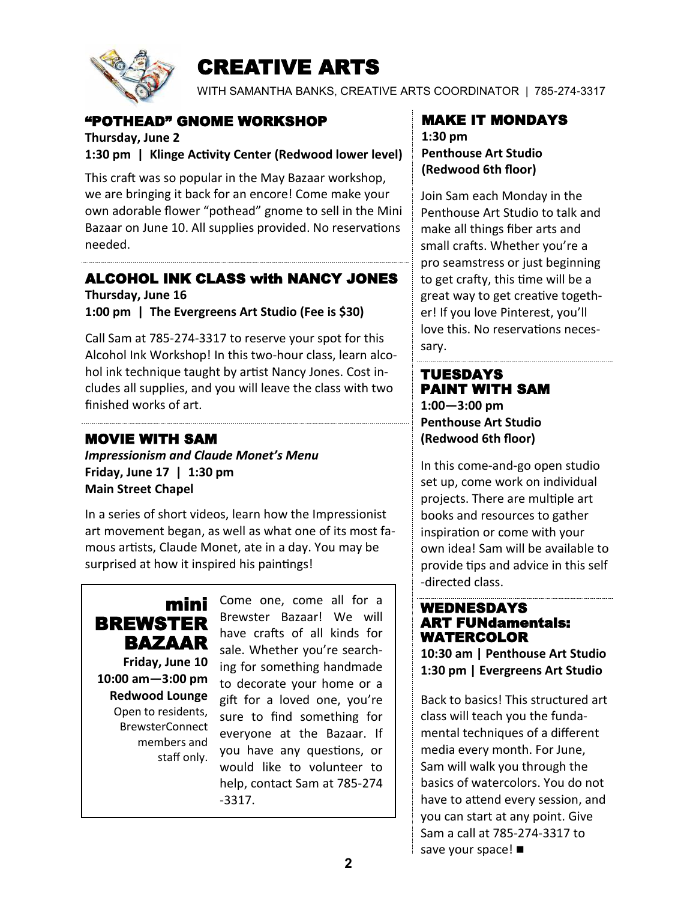

# CREATIVE ARTS

WITH SAMANTHA BANKS, CREATIVE ARTS COORDINATOR | 785-274-3317

### "POTHEAD" GNOME WORKSHOP

**Thursday, June 2 1:30 pm | Klinge Activity Center (Redwood lower level)**

This craft was so popular in the May Bazaar workshop, we are bringing it back for an encore! Come make your own adorable flower "pothead" gnome to sell in the Mini Bazaar on June 10. All supplies provided. No reservations needed.

### ALCOHOL INK CLASS with NANCY JONES

**Thursday, June 16 1:00 pm | The Evergreens Art Studio (Fee is \$30)**

Call Sam at 785-274-3317 to reserve your spot for this Alcohol Ink Workshop! In this two-hour class, learn alcohol ink technique taught by artist Nancy Jones. Cost includes all supplies, and you will leave the class with two finished works of art.

### MOVIE WITH SAM

*Impressionism and Claude Monet's Menu* **Friday, June 17 | 1:30 pm Main Street Chapel**

In a series of short videos, learn how the Impressionist art movement began, as well as what one of its most famous artists, Claude Monet, ate in a day. You may be surprised at how it inspired his paintings!



**Friday, June 10 10:00 am—3:00 pm Redwood Lounge** Open to residents, BrewsterConnect members and staff only.

Come one, come all for a Brewster Bazaar! We will have crafts of all kinds for sale. Whether you're searching for something handmade to decorate your home or a gift for a loved one, you're sure to find something for everyone at the Bazaar. If you have any questions, or would like to volunteer to help, contact Sam at 785-274 -3317.

# MAKE IT MONDAYS

**1:30 pm Penthouse Art Studio (Redwood 6th floor)**

Join Sam each Monday in the Penthouse Art Studio to talk and make all things fiber arts and small crafts. Whether you're a pro seamstress or just beginning to get crafty, this time will be a great way to get creative together! If you love Pinterest, you'll love this. No reservations necessary.

#### TUESDAYS PAINT WITH SAM **1:00—3:00 pm Penthouse Art Studio (Redwood 6th floor)**

In this come-and-go open studio set up, come work on individual projects. There are multiple art books and resources to gather inspiration or come with your own idea! Sam will be available to provide tips and advice in this self -directed class.

#### WEDNESDAYS ART FUNdamentals: WATERCOLOR

**10:30 am | Penthouse Art Studio 1:30 pm | Evergreens Art Studio**

Back to basics! This structured art class will teach you the fundamental techniques of a different media every month. For June, Sam will walk you through the basics of watercolors. You do not have to attend every session, and you can start at any point. Give Sam a call at 785-274-3317 to save your space!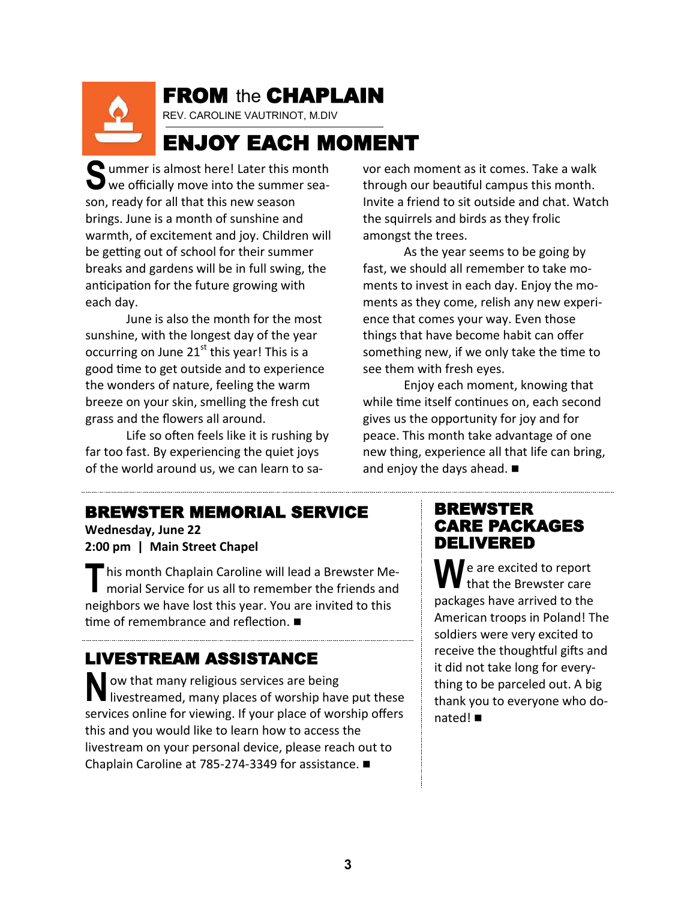# FROM the CHAPLAIN

REV. CAROLINE VAUTRINOT, M.DIV

# ENJOY EACH MOMENT

**S** ummer is almost here! Later this month  $\mathbf{\mathbf{\mathsf{U}}}$  we officially move into the summer season, ready for all that this new season brings. June is a month of sunshine and warmth, of excitement and joy. Children will be getting out of school for their summer breaks and gardens will be in full swing, the anticipation for the future growing with each day.

June is also the month for the most sunshine, with the longest day of the year occurring on June  $21<sup>st</sup>$  this year! This is a good time to get outside and to experience the wonders of nature, feeling the warm breeze on your skin, smelling the fresh cut grass and the flowers all around.

Life so often feels like it is rushing by far too fast. By experiencing the quiet joys of the world around us, we can learn to savor each moment as it comes. Take a walk through our beautiful campus this month. Invite a friend to sit outside and chat. Watch the squirrels and birds as they frolic amongst the trees.

As the year seems to be going by fast, we should all remember to take moments to invest in each day. Enjoy the moments as they come, relish any new experience that comes your way. Even those things that have become habit can offer something new, if we only take the time to see them with fresh eyes.

Enjoy each moment, knowing that while time itself continues on, each second gives us the opportunity for joy and for peace. This month take advantage of one new thing, experience all that life can bring, and enjoy the days ahead.

### BREWSTER MEMORIAL SERVICE

**Wednesday, June 22 2:00 pm | Main Street Chapel**

**T** his month Chaplain Caroline will lead a Brewster Me-<br>morial Service for us all to remember the friends and neighbors we have lost this year. You are invited to this time of remembrance and reflection.

# LIVESTREAM ASSISTANCE

**N** ow that many religious services are being IV livestreamed, many places of worship have put these services online for viewing. If your place of worship offers this and you would like to learn how to access the livestream on your personal device, please reach out to Chaplain Caroline at 785-274-3349 for assistance.

### BREWSTER CARE PACKAGES DELIVERED

**W e** are excited to report that the Brewster care packages have arrived to the American troops in Poland! The soldiers were very excited to receive the thoughtful gifts and it did not take long for everything to be parceled out. A big thank you to everyone who donated!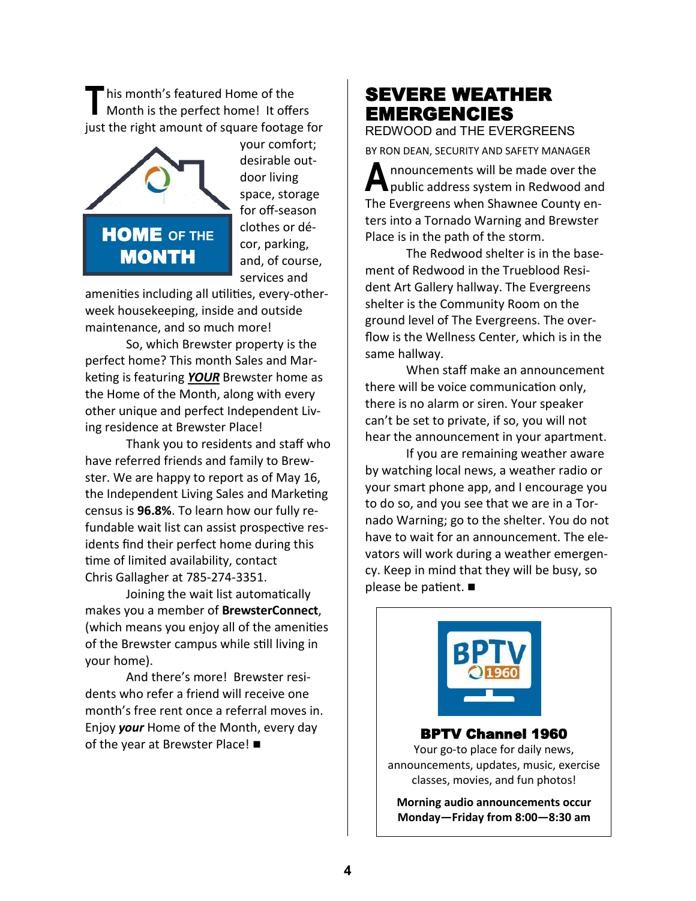**T** his month's featured Home of the Month is the perfect home! It offers just the right amount of square footage for



your comfort; desirable outdoor living space, storage for off-season clothes or décor, parking, and, of course, services and

amenities including all utilities, every-otherweek housekeeping, inside and outside maintenance, and so much more!

So, which Brewster property is the perfect home? This month Sales and Marketing is featuring *YOUR* Brewster home as the Home of the Month, along with every other unique and perfect Independent Living residence at Brewster Place!

Thank you to residents and staff who have referred friends and family to Brewster. We are happy to report as of May 16, the Independent Living Sales and Marketing census is **96.8%**. To learn how our fully refundable wait list can assist prospective residents find their perfect home during this time of limited availability, contact Chris Gallagher at 785-274-3351.

Joining the wait list automatically makes you a member of **BrewsterConnect**, (which means you enjoy all of the amenities of the Brewster campus while still living in your home).

And there's more! Brewster residents who refer a friend will receive one month's free rent once a referral moves in. Enjoy *your* Home of the Month, every day of the year at Brewster Place! ■

# SEVERE WEATHER EMERGENCIES

REDWOOD and THE EVERGREENS

BY RON DEAN, SECURITY AND SAFETY MANAGER

**A** nnouncements will be made over the public address system in Redwood and The Evergreens when Shawnee County enters into a Tornado Warning and Brewster Place is in the path of the storm.

The Redwood shelter is in the basement of Redwood in the Trueblood Resident Art Gallery hallway. The Evergreens shelter is the Community Room on the ground level of The Evergreens. The overflow is the Wellness Center, which is in the same hallway.

When staff make an announcement there will be voice communication only, there is no alarm or siren. Your speaker can't be set to private, if so, you will not hear the announcement in your apartment.

If you are remaining weather aware by watching local news, a weather radio or your smart phone app, and I encourage you to do so, and you see that we are in a Tornado Warning; go to the shelter. You do not have to wait for an announcement. The elevators will work during a weather emergency. Keep in mind that they will be busy, so please be patient.

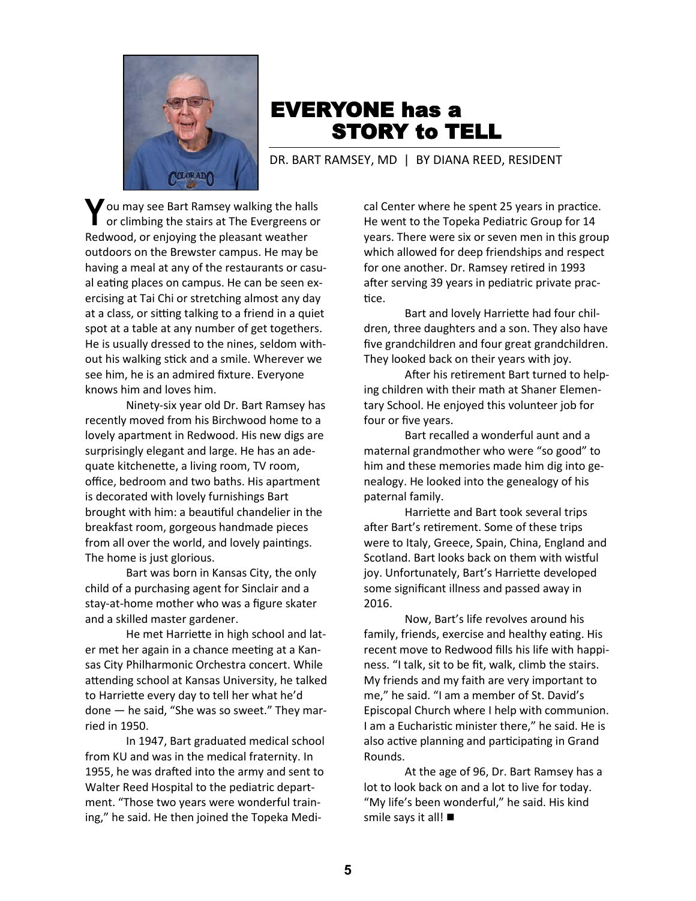

# EVERYONE has a STORY to TELL

DR. BART RAMSEY, MD | BY DIANA REED, RESIDENT

Y ou may see Bart Ramsey walking the halls or climbing the stairs at The Evergreens or Redwood, or enjoying the pleasant weather outdoors on the Brewster campus. He may be having a meal at any of the restaurants or casual eating places on campus. He can be seen exercising at Tai Chi or stretching almost any day at a class, or sitting talking to a friend in a quiet spot at a table at any number of get togethers. He is usually dressed to the nines, seldom without his walking stick and a smile. Wherever we see him, he is an admired fixture. Everyone knows him and loves him.

Ninety-six year old Dr. Bart Ramsey has recently moved from his Birchwood home to a lovely apartment in Redwood. His new digs are surprisingly elegant and large. He has an adequate kitchenette, a living room, TV room, office, bedroom and two baths. His apartment is decorated with lovely furnishings Bart brought with him: a beautiful chandelier in the breakfast room, gorgeous handmade pieces from all over the world, and lovely paintings. The home is just glorious.

Bart was born in Kansas City, the only child of a purchasing agent for Sinclair and a stay-at-home mother who was a figure skater and a skilled master gardener.

He met Harriette in high school and later met her again in a chance meeting at a Kansas City Philharmonic Orchestra concert. While attending school at Kansas University, he talked to Harriette every day to tell her what he'd done — he said, "She was so sweet." They married in 1950.

In 1947, Bart graduated medical school from KU and was in the medical fraternity. In 1955, he was drafted into the army and sent to Walter Reed Hospital to the pediatric department. "Those two years were wonderful training," he said. He then joined the Topeka Medi-

cal Center where he spent 25 years in practice. He went to the Topeka Pediatric Group for 14 years. There were six or seven men in this group which allowed for deep friendships and respect for one another. Dr. Ramsey retired in 1993 after serving 39 years in pediatric private practice.

Bart and lovely Harriette had four children, three daughters and a son. They also have five grandchildren and four great grandchildren. They looked back on their years with joy.

After his retirement Bart turned to helping children with their math at Shaner Elementary School. He enjoyed this volunteer job for four or five years.

Bart recalled a wonderful aunt and a maternal grandmother who were "so good" to him and these memories made him dig into genealogy. He looked into the genealogy of his paternal family.

Harriette and Bart took several trips after Bart's retirement. Some of these trips were to Italy, Greece, Spain, China, England and Scotland. Bart looks back on them with wistful joy. Unfortunately, Bart's Harriette developed some significant illness and passed away in 2016.

Now, Bart's life revolves around his family, friends, exercise and healthy eating. His recent move to Redwood fills his life with happiness. "I talk, sit to be fit, walk, climb the stairs. My friends and my faith are very important to me," he said. "I am a member of St. David's Episcopal Church where I help with communion. I am a Eucharistic minister there," he said. He is also active planning and participating in Grand Rounds.

At the age of 96, Dr. Bart Ramsey has a lot to look back on and a lot to live for today. "My life's been wonderful," he said. His kind smile says it all!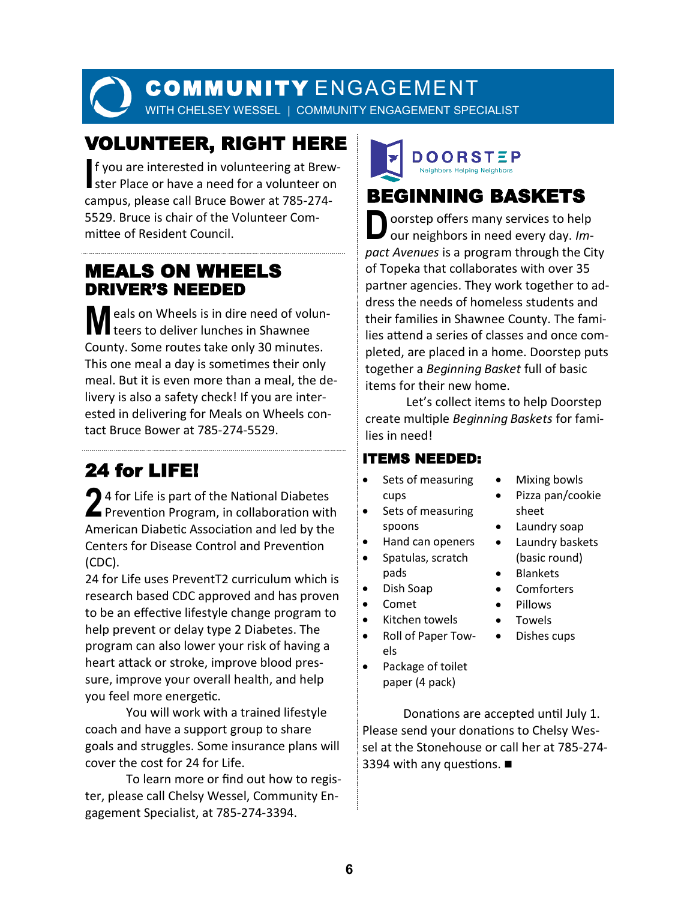# COMMUNITY ENGAGEMENT

WITH CHELSEY WESSEL | COMMUNITY ENGAGEMENT SPECIALIST

# VOLUNTEER, RIGHT HERE

**I** f you are interested in volunteering at Brew-I ster Place or have a need for a volunteer on campus, please call Bruce Bower at 785-274- 5529. Bruce is chair of the Volunteer Committee of Resident Council.

## MEALS ON WHEELS DRIVER'S NEEDED

**M** eals on Wheels is in dire need of volun-<br>teers to deliver lunches in Shawnee County. Some routes take only 30 minutes. This one meal a day is sometimes their only meal. But it is even more than a meal, the delivery is also a safety check! If you are interested in delivering for Meals on Wheels contact Bruce Bower at 785-274-5529.

# 24 for LIFE!

24 for Life is part of the National Diabetes<br>Prevention Program, in collaboration with American Diabetic Association and led by the Centers for Disease Control and Prevention (CDC).

24 for Life uses PreventT2 curriculum which is research based CDC approved and has proven to be an effective lifestyle change program to help prevent or delay type 2 Diabetes. The program can also lower your risk of having a heart attack or stroke, improve blood pressure, improve your overall health, and help you feel more energetic.

You will work with a trained lifestyle coach and have a support group to share goals and struggles. Some insurance plans will cover the cost for 24 for Life.

To learn more or find out how to register, please call Chelsy Wessel, Community Engagement Specialist, at 785-274-3394.

# DOORSTEP **Neighbors Helping Neighbors**

# BEGINNING BASKETS

**D** oorstep offers many services to help our neighbors in need every day. *Impact Avenues* is a program through the City of Topeka that collaborates with over 35 partner agencies. They work together to address the needs of homeless students and their families in Shawnee County. The families attend a series of classes and once completed, are placed in a home. Doorstep puts together a *Beginning Basket* full of basic items for their new home.

Let's collect items to help Doorstep create multiple *Beginning Baskets* for families in need!

### ITEMS NEEDED:

- Sets of measuring cups
- Sets of measuring spoons
- Hand can openers
- Spatulas, scratch pads
- Dish Soap
- Comet
- Kitchen towels
- Roll of Paper Towels
- Package of toilet paper (4 pack)

Donations are accepted until July 1. Please send your donations to Chelsy Wessel at the Stonehouse or call her at 785-274- 3394 with any questions. ■

sheet Laundry soap

 Mixing bowls • Pizza pan/cookie

- Laundry baskets (basic round)
- Blankets
- Comforters
- Pillows
- Towels
- Dishes cups
-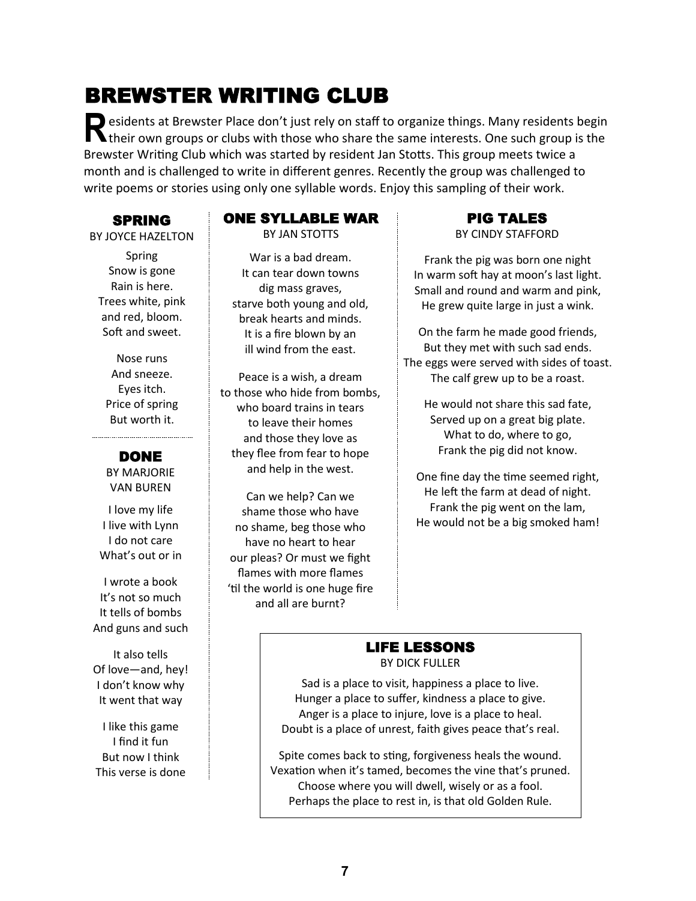# BREWSTER WRITING CLUB

**R** esidents at Brewster Place don't just rely on staff to organize things. Many residents begin their own groups or clubs with those who share the same interests. One such group is the Brewster Writing Club which was started by resident Jan Stotts. This group meets twice a month and is challenged to write in different genres. Recently the group was challenged to write poems or stories using only one syllable words. Enjoy this sampling of their work.

SPRING

#### BY JOYCE HAZELTON

Spring Snow is gone Rain is here. Trees white, pink and red, bloom. Soft and sweet.

Nose runs And sneeze. Eyes itch. Price of spring But worth it.

#### DONE

BY MARJORIE VAN BUREN

I love my life I live with Lynn I do not care What's out or in

I wrote a book It's not so much It tells of bombs And guns and such

It also tells Of love—and, hey! I don't know why It went that way

I like this game I find it fun But now I think This verse is done

### ONE SYLLABLE WAR

BY JAN STOTTS

War is a bad dream. It can tear down towns dig mass graves, starve both young and old, break hearts and minds. It is a fire blown by an ill wind from the east.

Peace is a wish, a dream to those who hide from bombs, who board trains in tears to leave their homes and those they love as they flee from fear to hope and help in the west.

Can we help? Can we shame those who have no shame, beg those who have no heart to hear our pleas? Or must we fight flames with more flames 'til the world is one huge fire and all are burnt?

#### PIG TALES BY CINDY STAFFORD

Frank the pig was born one night In warm soft hay at moon's last light. Small and round and warm and pink, He grew quite large in just a wink.

On the farm he made good friends, But they met with such sad ends. The eggs were served with sides of toast. The calf grew up to be a roast.

He would not share this sad fate, Served up on a great big plate. What to do, where to go, Frank the pig did not know.

One fine day the time seemed right, He left the farm at dead of night. Frank the pig went on the lam, He would not be a big smoked ham!

#### LIFE LESSONS BY DICK FULLER

Sad is a place to visit, happiness a place to live. Hunger a place to suffer, kindness a place to give. Anger is a place to injure, love is a place to heal. Doubt is a place of unrest, faith gives peace that's real.

Spite comes back to sting, forgiveness heals the wound. Vexation when it's tamed, becomes the vine that's pruned. Choose where you will dwell, wisely or as a fool. Perhaps the place to rest in, is that old Golden Rule.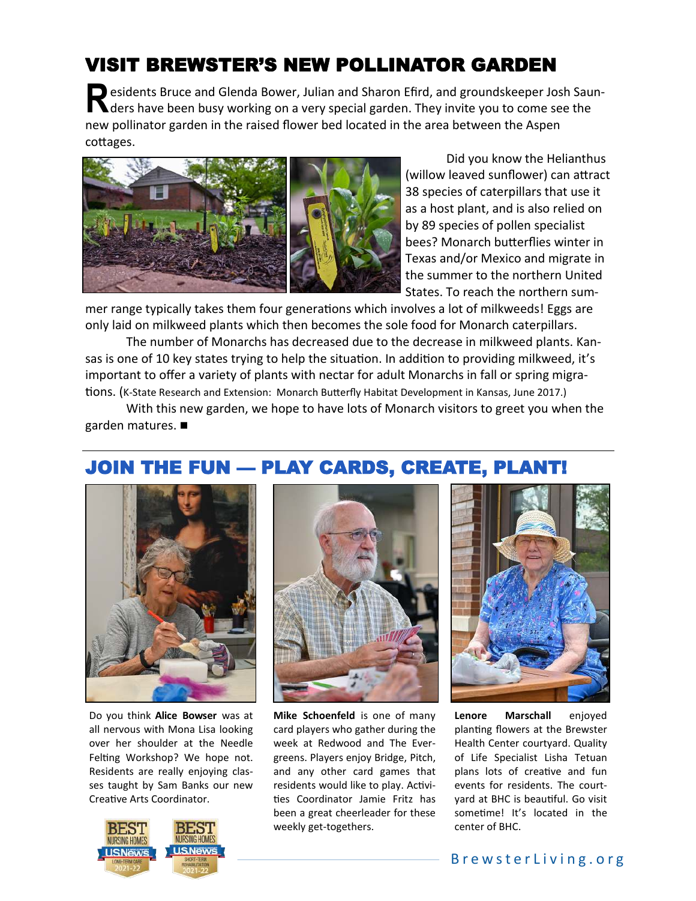# VISIT BREWSTER'S NEW POLLINATOR GARDEN

**R** esidents Bruce and Glenda Bower, Julian and Sharon Efird, and groundskeeper Josh Saun- $\blacksquare$  ders have been busy working on a very special garden. They invite you to come see the new pollinator garden in the raised flower bed located in the area between the Aspen cottages.



Did you know the Helianthus (willow leaved sunflower) can attract 38 species of caterpillars that use it as a host plant, and is also relied on by 89 species of pollen specialist bees? Monarch butterflies winter in Texas and/or Mexico and migrate in the summer to the northern United States. To reach the northern sum-

mer range typically takes them four generations which involves a lot of milkweeds! Eggs are only laid on milkweed plants which then becomes the sole food for Monarch caterpillars.

The number of Monarchs has decreased due to the decrease in milkweed plants. Kansas is one of 10 key states trying to help the situation. In addition to providing milkweed, it's important to offer a variety of plants with nectar for adult Monarchs in fall or spring migrations. (K-State Research and Extension: Monarch Butterfly Habitat Development in Kansas, June 2017.)

With this new garden, we hope to have lots of Monarch visitors to greet you when the garden matures.



# JOIN THE FUN — PLAY CARDS, CREATE, PLANT!

Do you think **Alice Bowser** was at all nervous with Mona Lisa looking over her shoulder at the Needle Felting Workshop? We hope not. Residents are really enjoying classes taught by Sam Banks our new Creative Arts Coordinator.





**Mike Schoenfeld** is one of many week at Redwood and The Evergreens. Players enjoy Bridge, Pitch, and any other card games that residents would like to play. Activities Coordinator Jamie Fritz has been a great cheerleader for these weekly get-togethers.



**Lenore Marschall** enjoyed Health Center courtyard. Quality of Life Specialist Lisha Tetuan plans lots of creative and fun events for residents. The courtyard at BHC is beautiful. Go visit sometime! It's located in the center of BHC.

#### card players who gather during the planting flowers at the Brewster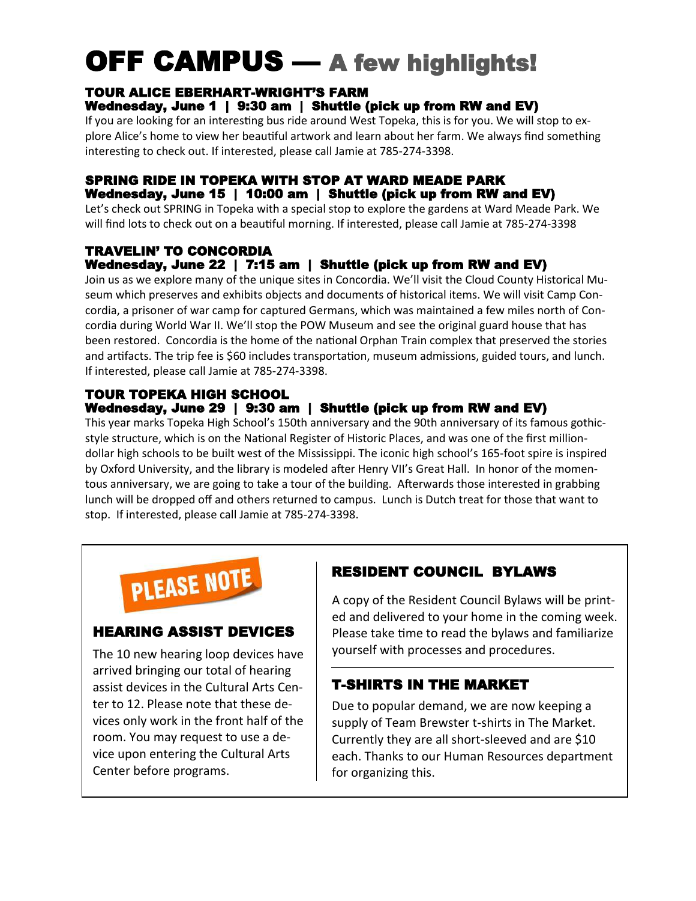# OFF CAMPUS — A few highlights!

#### TOUR ALICE EBERHART-WRIGHT'S FARM Wednesday, June 1 | 9:30 am | Shuttle (pick up from RW and EV)

If you are looking for an interesting bus ride around West Topeka, this is for you. We will stop to explore Alice's home to view her beautiful artwork and learn about her farm. We always find something interesting to check out. If interested, please call Jamie at 785-274-3398.

#### SPRING RIDE IN TOPEKA WITH STOP AT WARD MEADE PARK Wednesday, June 15 | 10:00 am | Shuttle (pick up from RW and EV)

Let's check out SPRING in Topeka with a special stop to explore the gardens at Ward Meade Park. We will find lots to check out on a beautiful morning. If interested, please call Jamie at 785-274-3398

### TRAVELIN' TO CONCORDIA

### Wednesday, June 22 | 7:15 am | Shuttle (pick up from RW and EV)

Join us as we explore many of the unique sites in Concordia. We'll visit the Cloud County Historical Museum which preserves and exhibits objects and documents of historical items. We will visit Camp Concordia, a prisoner of war camp for captured Germans, which was maintained a few miles north of Concordia during World War II. We'll stop the POW Museum and see the original guard house that has been restored. Concordia is the home of the national Orphan Train complex that preserved the stories and artifacts. The trip fee is \$60 includes transportation, museum admissions, guided tours, and lunch. If interested, please call Jamie at 785-274-3398.

#### TOUR TOPEKA HIGH SCHOOL Wednesday, June 29 | 9:30 am | Shuttle (pick up from RW and EV)

This year marks Topeka High School's 150th anniversary and the 90th anniversary of its famous gothicstyle structure, which is on the National Register of Historic Places, and was one of the first milliondollar high schools to be built west of the Mississippi. The iconic high school's 165-foot spire is inspired by Oxford University, and the library is modeled after Henry VII's Great Hall. In honor of the momentous anniversary, we are going to take a tour of the building. Afterwards those interested in grabbing lunch will be dropped off and others returned to campus. Lunch is Dutch treat for those that want to stop. If interested, please call Jamie at 785-274-3398.



#### HEARING ASSIST DEVICES

The 10 new hearing loop devices have arrived bringing our total of hearing assist devices in the Cultural Arts Center to 12. Please note that these devices only work in the front half of the room. You may request to use a device upon entering the Cultural Arts Center before programs.

### RESIDENT COUNCIL BYLAWS

A copy of the Resident Council Bylaws will be printed and delivered to your home in the coming week. Please take time to read the bylaws and familiarize yourself with processes and procedures.

### T-SHIRTS IN THE MARKET

Due to popular demand, we are now keeping a supply of Team Brewster t-shirts in The Market. Currently they are all short-sleeved and are \$10 each. Thanks to our Human Resources department for organizing this.